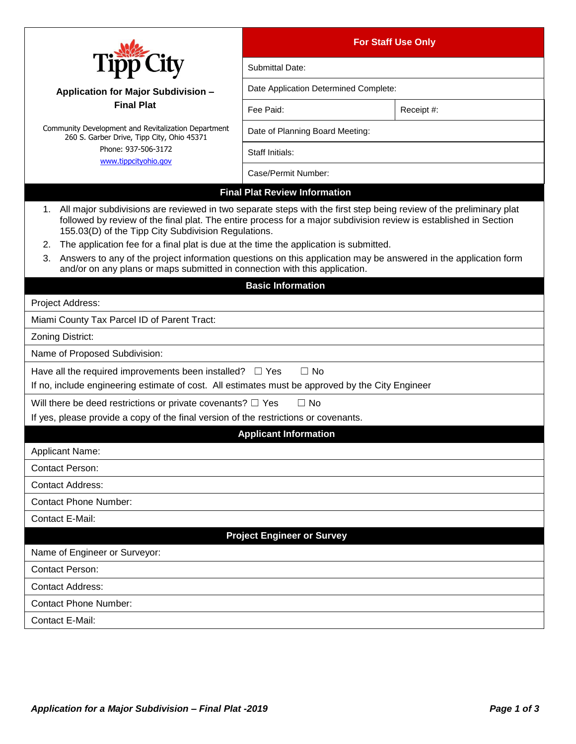|                                                                                                                                                                                                                                                                                                                                                                                                                                                                                                                                                                                                                                     | <b>For Staff Use Only</b>             |            |  |
|-------------------------------------------------------------------------------------------------------------------------------------------------------------------------------------------------------------------------------------------------------------------------------------------------------------------------------------------------------------------------------------------------------------------------------------------------------------------------------------------------------------------------------------------------------------------------------------------------------------------------------------|---------------------------------------|------------|--|
|                                                                                                                                                                                                                                                                                                                                                                                                                                                                                                                                                                                                                                     | Submittal Date:                       |            |  |
| <b>Application for Major Subdivision -</b>                                                                                                                                                                                                                                                                                                                                                                                                                                                                                                                                                                                          | Date Application Determined Complete: |            |  |
| <b>Final Plat</b>                                                                                                                                                                                                                                                                                                                                                                                                                                                                                                                                                                                                                   | Fee Paid:                             | Receipt #: |  |
| Community Development and Revitalization Department<br>260 S. Garber Drive, Tipp City, Ohio 45371<br>Phone: 937-506-3172                                                                                                                                                                                                                                                                                                                                                                                                                                                                                                            | Date of Planning Board Meeting:       |            |  |
|                                                                                                                                                                                                                                                                                                                                                                                                                                                                                                                                                                                                                                     | Staff Initials:                       |            |  |
| www.tippcityohio.gov                                                                                                                                                                                                                                                                                                                                                                                                                                                                                                                                                                                                                | Case/Permit Number:                   |            |  |
|                                                                                                                                                                                                                                                                                                                                                                                                                                                                                                                                                                                                                                     | <b>Final Plat Review Information</b>  |            |  |
| 1. All major subdivisions are reviewed in two separate steps with the first step being review of the preliminary plat<br>followed by review of the final plat. The entire process for a major subdivision review is established in Section<br>155.03(D) of the Tipp City Subdivision Regulations.<br>The application fee for a final plat is due at the time the application is submitted.<br>2.<br>Answers to any of the project information questions on this application may be answered in the application form<br>3.<br>and/or on any plans or maps submitted in connection with this application.<br><b>Basic Information</b> |                                       |            |  |
| Project Address:                                                                                                                                                                                                                                                                                                                                                                                                                                                                                                                                                                                                                    |                                       |            |  |
| Miami County Tax Parcel ID of Parent Tract:                                                                                                                                                                                                                                                                                                                                                                                                                                                                                                                                                                                         |                                       |            |  |
| Zoning District:                                                                                                                                                                                                                                                                                                                                                                                                                                                                                                                                                                                                                    |                                       |            |  |
| Name of Proposed Subdivision:                                                                                                                                                                                                                                                                                                                                                                                                                                                                                                                                                                                                       |                                       |            |  |
| Have all the required improvements been installed? $\square$ Yes<br>If no, include engineering estimate of cost. All estimates must be approved by the City Engineer                                                                                                                                                                                                                                                                                                                                                                                                                                                                | $\Box$ No                             |            |  |
| Will there be deed restrictions or private covenants? $\Box$ Yes                                                                                                                                                                                                                                                                                                                                                                                                                                                                                                                                                                    | $\Box$ No                             |            |  |
| If yes, please provide a copy of the final version of the restrictions or covenants.                                                                                                                                                                                                                                                                                                                                                                                                                                                                                                                                                |                                       |            |  |
| <b>Applicant Information</b><br><b>Applicant Name:</b>                                                                                                                                                                                                                                                                                                                                                                                                                                                                                                                                                                              |                                       |            |  |
| <b>Contact Person:</b>                                                                                                                                                                                                                                                                                                                                                                                                                                                                                                                                                                                                              |                                       |            |  |
| <b>Contact Address:</b>                                                                                                                                                                                                                                                                                                                                                                                                                                                                                                                                                                                                             |                                       |            |  |
| <b>Contact Phone Number:</b>                                                                                                                                                                                                                                                                                                                                                                                                                                                                                                                                                                                                        |                                       |            |  |
| Contact E-Mail:                                                                                                                                                                                                                                                                                                                                                                                                                                                                                                                                                                                                                     |                                       |            |  |
|                                                                                                                                                                                                                                                                                                                                                                                                                                                                                                                                                                                                                                     | <b>Project Engineer or Survey</b>     |            |  |
| Name of Engineer or Surveyor:                                                                                                                                                                                                                                                                                                                                                                                                                                                                                                                                                                                                       |                                       |            |  |
| <b>Contact Person:</b>                                                                                                                                                                                                                                                                                                                                                                                                                                                                                                                                                                                                              |                                       |            |  |
| <b>Contact Address:</b>                                                                                                                                                                                                                                                                                                                                                                                                                                                                                                                                                                                                             |                                       |            |  |
| <b>Contact Phone Number:</b>                                                                                                                                                                                                                                                                                                                                                                                                                                                                                                                                                                                                        |                                       |            |  |
| Contact E-Mail:                                                                                                                                                                                                                                                                                                                                                                                                                                                                                                                                                                                                                     |                                       |            |  |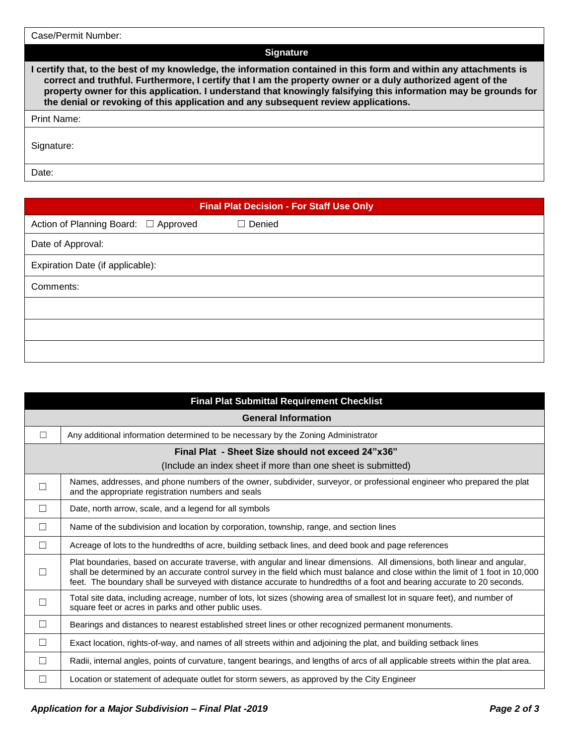| Case/Permit Number:                                                                                                                                                                                                                                                                                                                                                                                                                       |
|-------------------------------------------------------------------------------------------------------------------------------------------------------------------------------------------------------------------------------------------------------------------------------------------------------------------------------------------------------------------------------------------------------------------------------------------|
| <b>Signature</b>                                                                                                                                                                                                                                                                                                                                                                                                                          |
| l certify that, to the best of my knowledge, the information contained in this form and within any attachments is<br>correct and truthful. Furthermore, I certify that I am the property owner or a duly authorized agent of the<br>property owner for this application. I understand that knowingly falsifying this information may be grounds for<br>the denial or revoking of this application and any subsequent review applications. |
| <b>Print Name:</b>                                                                                                                                                                                                                                                                                                                                                                                                                        |
| Signature:                                                                                                                                                                                                                                                                                                                                                                                                                                |
| Date:                                                                                                                                                                                                                                                                                                                                                                                                                                     |

| <b>Final Plat Decision - For Staff Use Only</b> |               |  |
|-------------------------------------------------|---------------|--|
| Action of Planning Board: □ Approved            | $\Box$ Denied |  |
| Date of Approval:                               |               |  |
| Expiration Date (if applicable):                |               |  |
| Comments:                                       |               |  |
|                                                 |               |  |
|                                                 |               |  |
|                                                 |               |  |

| <b>Final Plat Submittal Requirement Checklist</b>            |                                                                                                                                                                                                                                                                                                                                                                                          |  |
|--------------------------------------------------------------|------------------------------------------------------------------------------------------------------------------------------------------------------------------------------------------------------------------------------------------------------------------------------------------------------------------------------------------------------------------------------------------|--|
| <b>General Information</b>                                   |                                                                                                                                                                                                                                                                                                                                                                                          |  |
| $\Box$                                                       | Any additional information determined to be necessary by the Zoning Administrator                                                                                                                                                                                                                                                                                                        |  |
| Final Plat - Sheet Size should not exceed 24"x36"            |                                                                                                                                                                                                                                                                                                                                                                                          |  |
| (Include an index sheet if more than one sheet is submitted) |                                                                                                                                                                                                                                                                                                                                                                                          |  |
| $\Box$                                                       | Names, addresses, and phone numbers of the owner, subdivider, surveyor, or professional engineer who prepared the plat<br>and the appropriate registration numbers and seals                                                                                                                                                                                                             |  |
| П                                                            | Date, north arrow, scale, and a legend for all symbols                                                                                                                                                                                                                                                                                                                                   |  |
| П                                                            | Name of the subdivision and location by corporation, township, range, and section lines                                                                                                                                                                                                                                                                                                  |  |
| $\Box$                                                       | Acreage of lots to the hundredths of acre, building setback lines, and deed book and page references                                                                                                                                                                                                                                                                                     |  |
| $\vert \ \ \vert$                                            | Plat boundaries, based on accurate traverse, with angular and linear dimensions. All dimensions, both linear and angular,<br>shall be determined by an accurate control survey in the field which must balance and close within the limit of 1 foot in 10,000<br>feet. The boundary shall be surveyed with distance accurate to hundredths of a foot and bearing accurate to 20 seconds. |  |
|                                                              | Total site data, including acreage, number of lots, lot sizes (showing area of smallest lot in square feet), and number of<br>square feet or acres in parks and other public uses.                                                                                                                                                                                                       |  |
| П                                                            | Bearings and distances to nearest established street lines or other recognized permanent monuments.                                                                                                                                                                                                                                                                                      |  |
| П                                                            | Exact location, rights-of-way, and names of all streets within and adjoining the plat, and building setback lines                                                                                                                                                                                                                                                                        |  |
| П                                                            | Radii, internal angles, points of curvature, tangent bearings, and lengths of arcs of all applicable streets within the plat area.                                                                                                                                                                                                                                                       |  |
|                                                              | Location or statement of adequate outlet for storm sewers, as approved by the City Engineer                                                                                                                                                                                                                                                                                              |  |